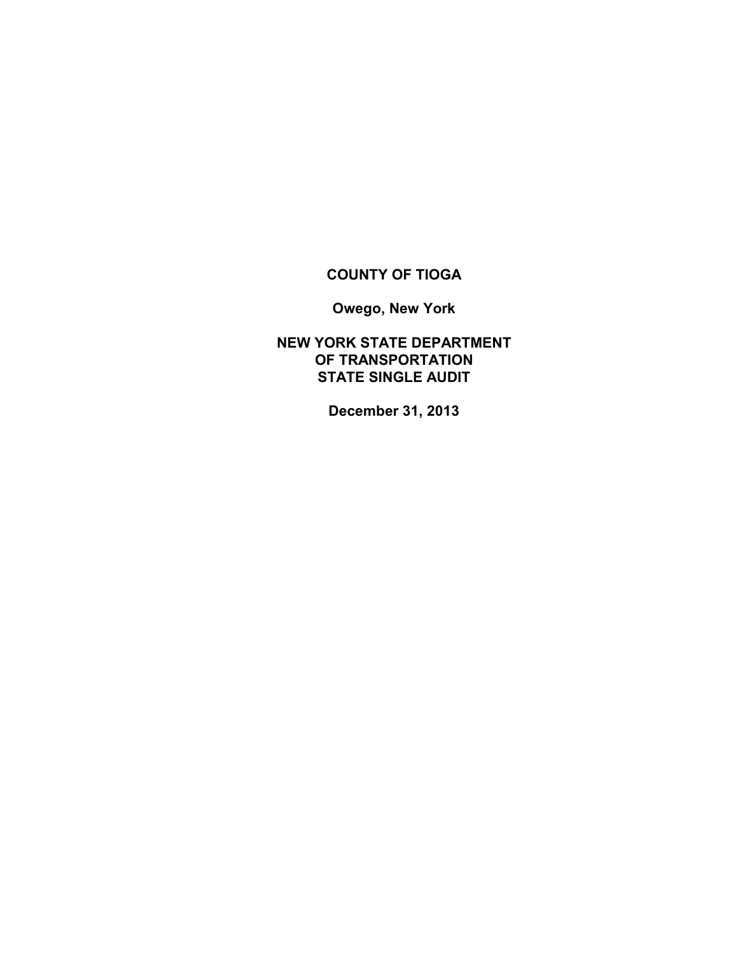## **COUNTY OF TIOGA**

**Owego, New York**

**NEW YORK STATE DEPARTMENT OF TRANSPORTATION STATE SINGLE AUDIT**

**December 31, 2013**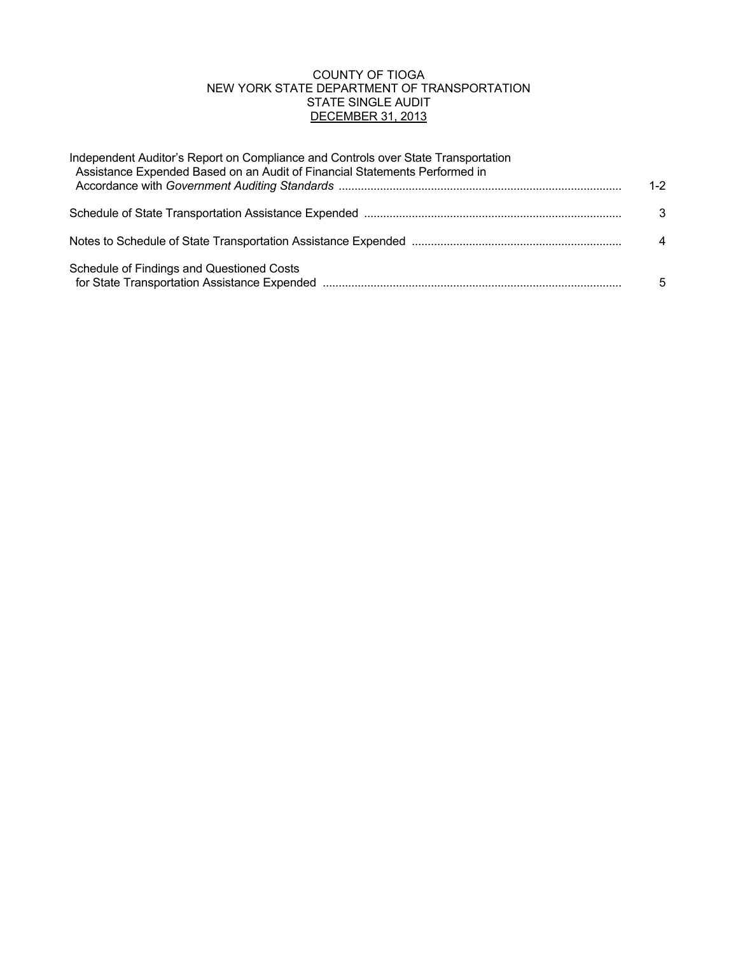## COUNTY OF TIOGA NEW YORK STATE DEPARTMENT OF TRANSPORTATION STATE SINGLE AUDIT DECEMBER 31, 2013

| Independent Auditor's Report on Compliance and Controls over State Transportation<br>Assistance Expended Based on an Audit of Financial Statements Performed in | $1-2$                  |
|-----------------------------------------------------------------------------------------------------------------------------------------------------------------|------------------------|
|                                                                                                                                                                 | 3                      |
|                                                                                                                                                                 | $\boldsymbol{\Lambda}$ |
| Schedule of Findings and Questioned Costs                                                                                                                       | 5                      |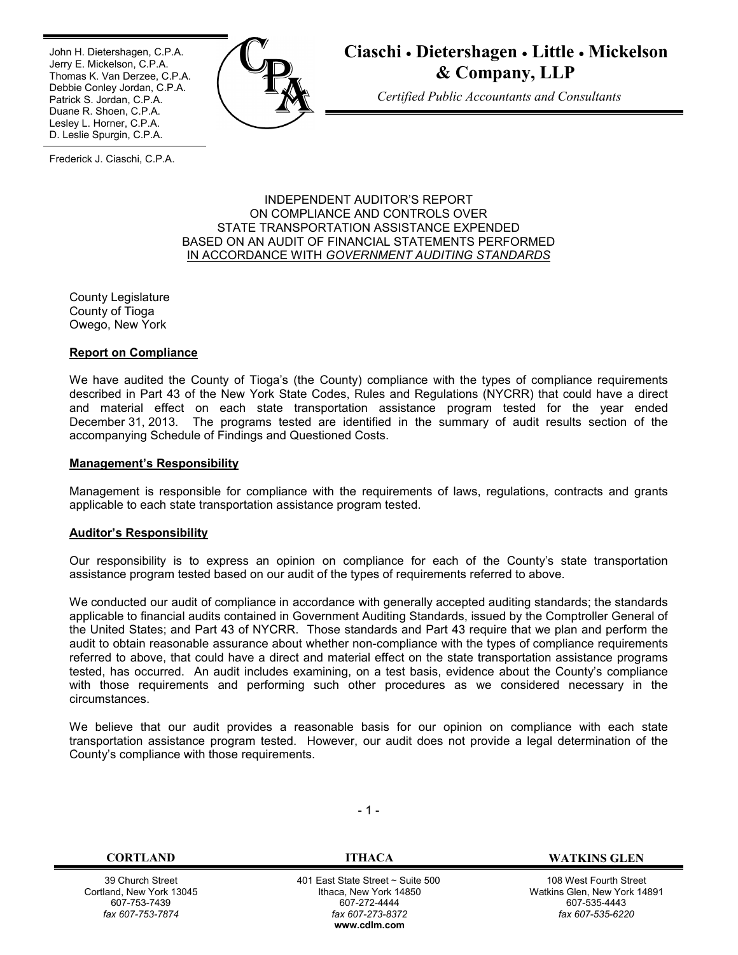Ī John H. Dietershagen, C.P.A. Jerry E. Mickelson, C.P.A. Thomas K. Van Derzee, C.P.A. Debbie Conley Jordan, C.P.A. Patrick S. Jordan, C.P.A. Duane R. Shoen, C.P.A. Lesley L. Horner, C.P.A. D. Leslie Spurgin, C.P.A.



# **Ciaschi Dietershagen Little Mickelson & Company, LLP**

*Certified Public Accountants and Consultants*

Frederick J. Ciaschi, C.P.A.

#### INDEPENDENT AUDITOR'S REPORT ON COMPLIANCE AND CONTROLS OVER STATE TRANSPORTATION ASSISTANCE EXPENDED BASED ON AN AUDIT OF FINANCIAL STATEMENTS PERFORMED IN ACCORDANCE WITH *GOVERNMENT AUDITING STANDARDS*

County Legislature County of Tioga Owego, New York

## **Report on Compliance**

We have audited the County of Tioga's (the County) compliance with the types of compliance requirements described in Part 43 of the New York State Codes, Rules and Regulations (NYCRR) that could have a direct and material effect on each state transportation assistance program tested for the year ended December 31, 2013. The programs tested are identified in the summary of audit results section of the accompanying Schedule of Findings and Questioned Costs.

## **Management's Responsibility**

Management is responsible for compliance with the requirements of laws, regulations, contracts and grants applicable to each state transportation assistance program tested.

#### **Auditor's Responsibility**

Our responsibility is to express an opinion on compliance for each of the County's state transportation assistance program tested based on our audit of the types of requirements referred to above.

We conducted our audit of compliance in accordance with generally accepted auditing standards; the standards applicable to financial audits contained in Government Auditing Standards, issued by the Comptroller General of the United States; and Part 43 of NYCRR. Those standards and Part 43 require that we plan and perform the audit to obtain reasonable assurance about whether non-compliance with the types of compliance requirements referred to above, that could have a direct and material effect on the state transportation assistance programs tested, has occurred. An audit includes examining, on a test basis, evidence about the County's compliance with those requirements and performing such other procedures as we considered necessary in the circumstances.

We believe that our audit provides a reasonable basis for our opinion on compliance with each state transportation assistance program tested. However, our audit does not provide a legal determination of the County's compliance with those requirements.

39 Church Street Cortland, New York 13045 607-753-7439 *fax 607-753-7874*

- 1 -

 401 East State Street ~ Suite 500 Ithaca, New York 14850 607-272-4444 *fax 607-273-8372* **www.cdlm.com**

**CORTLAND ITHACA WATKINS GLEN**

108 West Fourth Street Watkins Glen, New York 14891 607-535-4443 *fax 607-535-6220*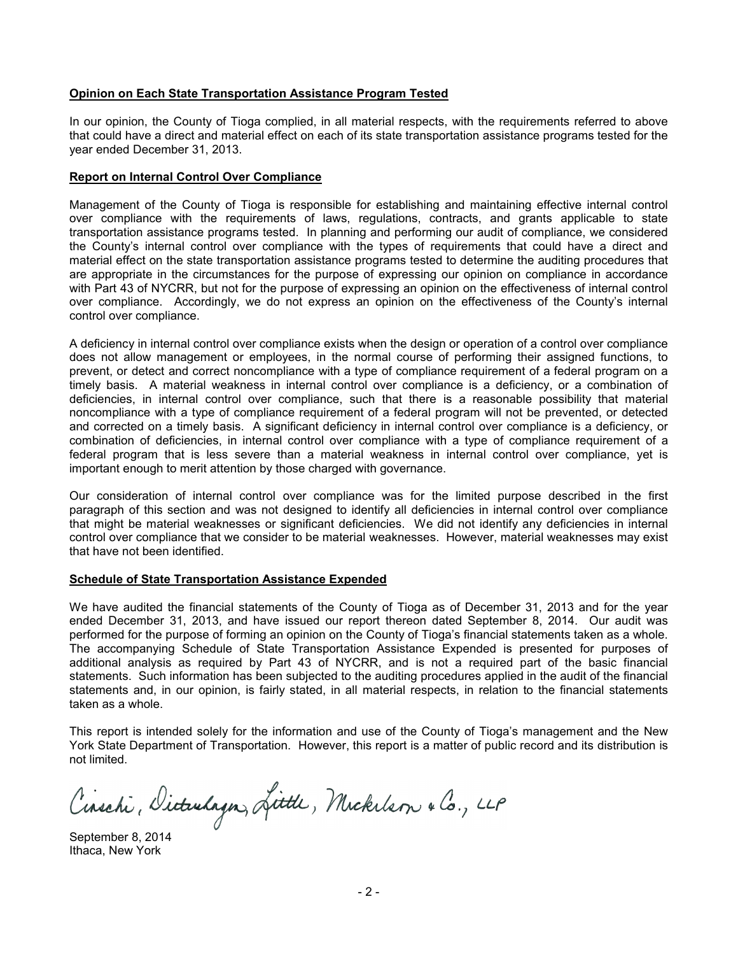#### **Opinion on Each State Transportation Assistance Program Tested**

In our opinion, the County of Tioga complied, in all material respects, with the requirements referred to above that could have a direct and material effect on each of its state transportation assistance programs tested for the year ended December 31, 2013.

## **Report on Internal Control Over Compliance**

Management of the County of Tioga is responsible for establishing and maintaining effective internal control over compliance with the requirements of laws, regulations, contracts, and grants applicable to state transportation assistance programs tested. In planning and performing our audit of compliance, we considered the County's internal control over compliance with the types of requirements that could have a direct and material effect on the state transportation assistance programs tested to determine the auditing procedures that are appropriate in the circumstances for the purpose of expressing our opinion on compliance in accordance with Part 43 of NYCRR, but not for the purpose of expressing an opinion on the effectiveness of internal control over compliance. Accordingly, we do not express an opinion on the effectiveness of the County's internal control over compliance.

A deficiency in internal control over compliance exists when the design or operation of a control over compliance does not allow management or employees, in the normal course of performing their assigned functions, to prevent, or detect and correct noncompliance with a type of compliance requirement of a federal program on a timely basis. A material weakness in internal control over compliance is a deficiency, or a combination of deficiencies, in internal control over compliance, such that there is a reasonable possibility that material noncompliance with a type of compliance requirement of a federal program will not be prevented, or detected and corrected on a timely basis. A significant deficiency in internal control over compliance is a deficiency, or combination of deficiencies, in internal control over compliance with a type of compliance requirement of a federal program that is less severe than a material weakness in internal control over compliance, yet is important enough to merit attention by those charged with governance.

Our consideration of internal control over compliance was for the limited purpose described in the first paragraph of this section and was not designed to identify all deficiencies in internal control over compliance that might be material weaknesses or significant deficiencies. We did not identify any deficiencies in internal control over compliance that we consider to be material weaknesses. However, material weaknesses may exist that have not been identified.

#### **Schedule of State Transportation Assistance Expended**

We have audited the financial statements of the County of Tioga as of December 31, 2013 and for the year ended December 31, 2013, and have issued our report thereon dated September 8, 2014. Our audit was performed for the purpose of forming an opinion on the County of Tioga's financial statements taken as a whole. The accompanying Schedule of State Transportation Assistance Expended is presented for purposes of additional analysis as required by Part 43 of NYCRR, and is not a required part of the basic financial statements. Such information has been subjected to the auditing procedures applied in the audit of the financial statements and, in our opinion, is fairly stated, in all material respects, in relation to the financial statements taken as a whole.

This report is intended solely for the information and use of the County of Tioga's management and the New York State Department of Transportation. However, this report is a matter of public record and its distribution is not limited.

Cinschi, Dicturlagn, Little, Mickelson & Co., LLP

September 8, 2014 Ithaca, New York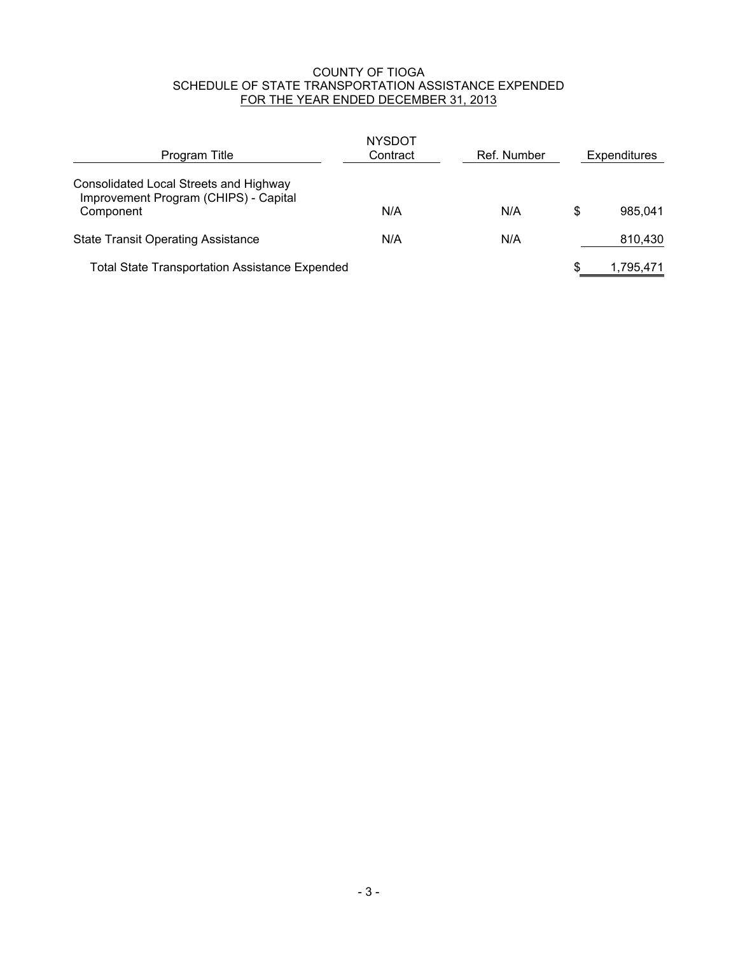## COUNTY OF TIOGA SCHEDULE OF STATE TRANSPORTATION ASSISTANCE EXPENDED FOR THE YEAR ENDED DECEMBER 31, 2013

| Program Title                                                                                | <b>NYSDOT</b><br>Contract | Ref. Number |    | Expenditures |
|----------------------------------------------------------------------------------------------|---------------------------|-------------|----|--------------|
| Consolidated Local Streets and Highway<br>Improvement Program (CHIPS) - Capital<br>Component | N/A                       | N/A         | S. | 985.041      |
| <b>State Transit Operating Assistance</b>                                                    | N/A                       | N/A         |    | 810,430      |
| <b>Total State Transportation Assistance Expended</b>                                        |                           |             | S  | 1,795,471    |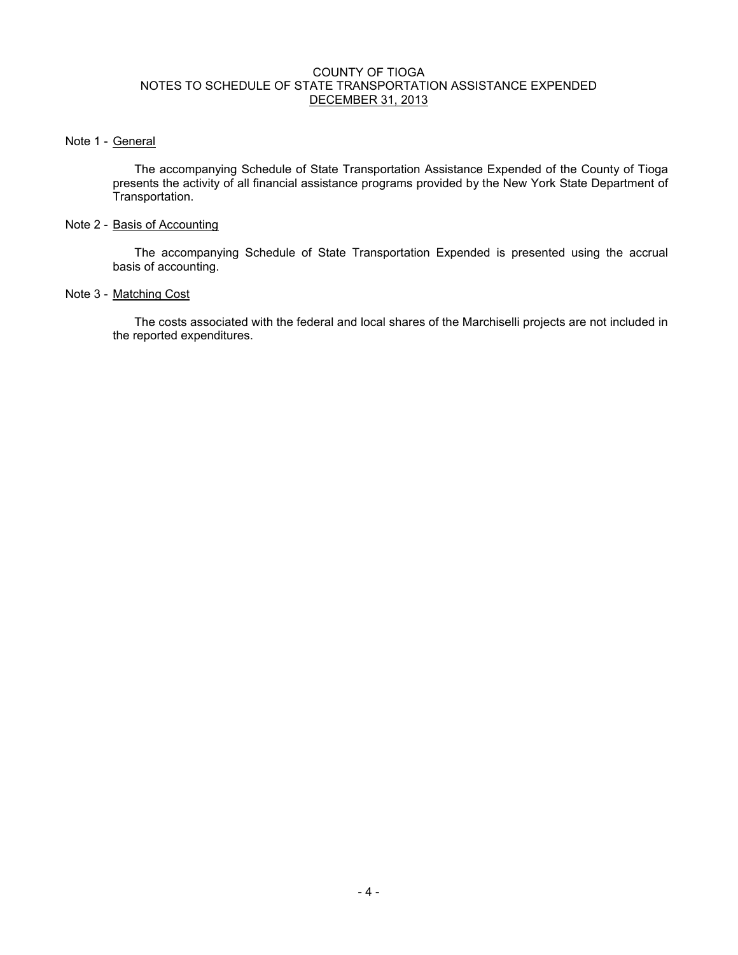#### COUNTY OF TIOGA NOTES TO SCHEDULE OF STATE TRANSPORTATION ASSISTANCE EXPENDED DECEMBER 31, 2013

## Note 1 - General

The accompanying Schedule of State Transportation Assistance Expended of the County of Tioga presents the activity of all financial assistance programs provided by the New York State Department of Transportation.

## Note 2 - Basis of Accounting

The accompanying Schedule of State Transportation Expended is presented using the accrual basis of accounting.

## Note 3 - Matching Cost

The costs associated with the federal and local shares of the Marchiselli projects are not included in the reported expenditures.